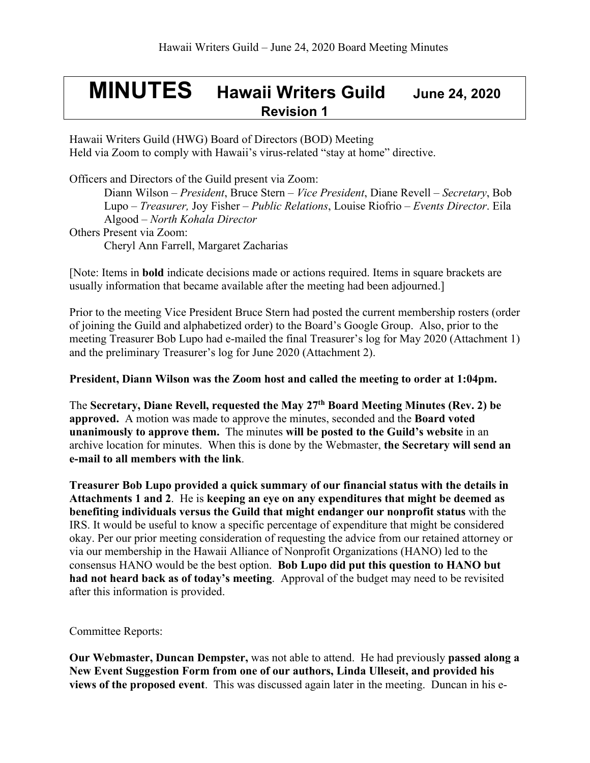## **MINUTES Hawaii Writers Guild June 24, <sup>2020</sup> Revision 1**

Hawaii Writers Guild (HWG) Board of Directors (BOD) Meeting Held via Zoom to comply with Hawaii's virus-related "stay at home" directive.

Officers and Directors of the Guild present via Zoom:

Diann Wilson – *President*, Bruce Stern – *Vice President*, Diane Revell – *Secretary*, Bob Lupo – *Treasurer,* Joy Fisher – *Public Relations*, Louise Riofrio – *Events Director*. Eila Algood – *North Kohala Director* Others Present via Zoom: Cheryl Ann Farrell, Margaret Zacharias

[Note: Items in **bold** indicate decisions made or actions required. Items in square brackets are usually information that became available after the meeting had been adjourned.]

Prior to the meeting Vice President Bruce Stern had posted the current membership rosters (order of joining the Guild and alphabetized order) to the Board's Google Group. Also, prior to the meeting Treasurer Bob Lupo had e-mailed the final Treasurer's log for May 2020 (Attachment 1) and the preliminary Treasurer's log for June 2020 (Attachment 2).

## **President, Diann Wilson was the Zoom host and called the meeting to order at 1:04pm.**

The **Secretary, Diane Revell, requested the May 27th Board Meeting Minutes (Rev. 2) be approved.** A motion was made to approve the minutes, seconded and the **Board voted unanimously to approve them.** The minutes **will be posted to the Guild's website** in an archive location for minutes. When this is done by the Webmaster, **the Secretary will send an e-mail to all members with the link**.

**Treasurer Bob Lupo provided a quick summary of our financial status with the details in Attachments 1 and 2**. He is **keeping an eye on any expenditures that might be deemed as benefiting individuals versus the Guild that might endanger our nonprofit status** with the IRS. It would be useful to know a specific percentage of expenditure that might be considered okay. Per our prior meeting consideration of requesting the advice from our retained attorney or via our membership in the Hawaii Alliance of Nonprofit Organizations (HANO) led to the consensus HANO would be the best option. **Bob Lupo did put this question to HANO but had not heard back as of today's meeting**. Approval of the budget may need to be revisited after this information is provided.

Committee Reports:

**Our Webmaster, Duncan Dempster,** was not able to attend. He had previously **passed along a New Event Suggestion Form from one of our authors, Linda Ulleseit, and provided his views of the proposed event**. This was discussed again later in the meeting. Duncan in his e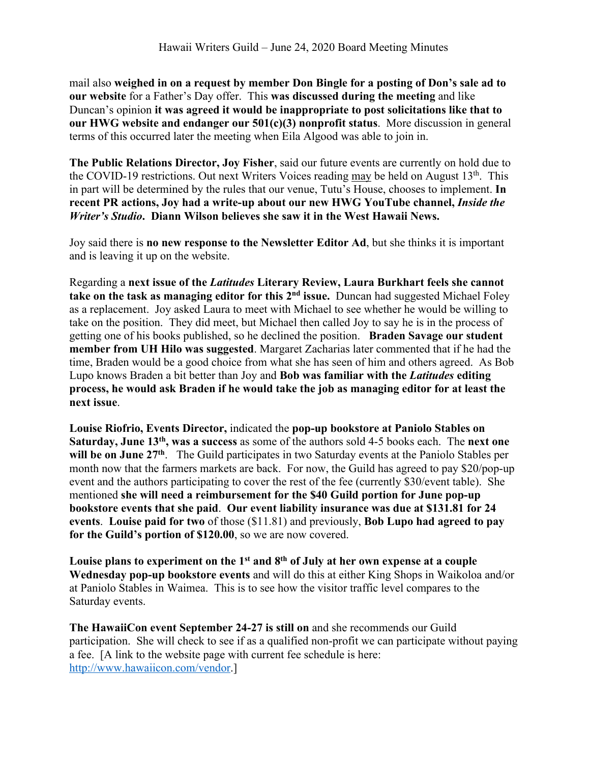mail also **weighed in on a request by member Don Bingle for a posting of Don's sale ad to our website** for a Father's Day offer. This **was discussed during the meeting** and like Duncan's opinion **it was agreed it would be inappropriate to post solicitations like that to our HWG website and endanger our 501(c)(3) nonprofit status**. More discussion in general terms of this occurred later the meeting when Eila Algood was able to join in.

**The Public Relations Director, Joy Fisher**, said our future events are currently on hold due to the COVID-19 restrictions. Out next Writers Voices reading may be held on August  $13<sup>th</sup>$ . This in part will be determined by the rules that our venue, Tutu's House, chooses to implement. **In recent PR actions, Joy had a write-up about our new HWG YouTube channel,** *Inside the Writer's Studio***. Diann Wilson believes she saw it in the West Hawaii News.**

Joy said there is **no new response to the Newsletter Editor Ad**, but she thinks it is important and is leaving it up on the website.

Regarding a **next issue of the** *Latitudes* **Literary Review, Laura Burkhart feels she cannot**  take on the task as managing editor for this 2<sup>nd</sup> issue. Duncan had suggested Michael Foley as a replacement. Joy asked Laura to meet with Michael to see whether he would be willing to take on the position. They did meet, but Michael then called Joy to say he is in the process of getting one of his books published, so he declined the position. **Braden Savage our student member from UH Hilo was suggested**. Margaret Zacharias later commented that if he had the time, Braden would be a good choice from what she has seen of him and others agreed. As Bob Lupo knows Braden a bit better than Joy and **Bob was familiar with the** *Latitudes* **editing process, he would ask Braden if he would take the job as managing editor for at least the next issue**.

**Louise Riofrio, Events Director,** indicated the **pop-up bookstore at Paniolo Stables on Saturday, June 13th, was a success** as some of the authors sold 4-5 books each. The **next one will be on June 27th**. The Guild participates in two Saturday events at the Paniolo Stables per month now that the farmers markets are back. For now, the Guild has agreed to pay \$20/pop-up event and the authors participating to cover the rest of the fee (currently \$30/event table). She mentioned **she will need a reimbursement for the \$40 Guild portion for June pop-up bookstore events that she paid**. **Our event liability insurance was due at \$131.81 for 24 events**. **Louise paid for two** of those (\$11.81) and previously, **Bob Lupo had agreed to pay for the Guild's portion of \$120.00**, so we are now covered.

**Louise plans to experiment on the 1st and 8th of July at her own expense at a couple Wednesday pop-up bookstore events** and will do this at either King Shops in Waikoloa and/or at Paniolo Stables in Waimea. This is to see how the visitor traffic level compares to the Saturday events.

**The HawaiiCon event September 24-27 is still on** and she recommends our Guild participation. She will check to see if as a qualified non-profit we can participate without paying a fee. [A link to the website page with current fee schedule is here: http://www.hawaiicon.com/vendor.]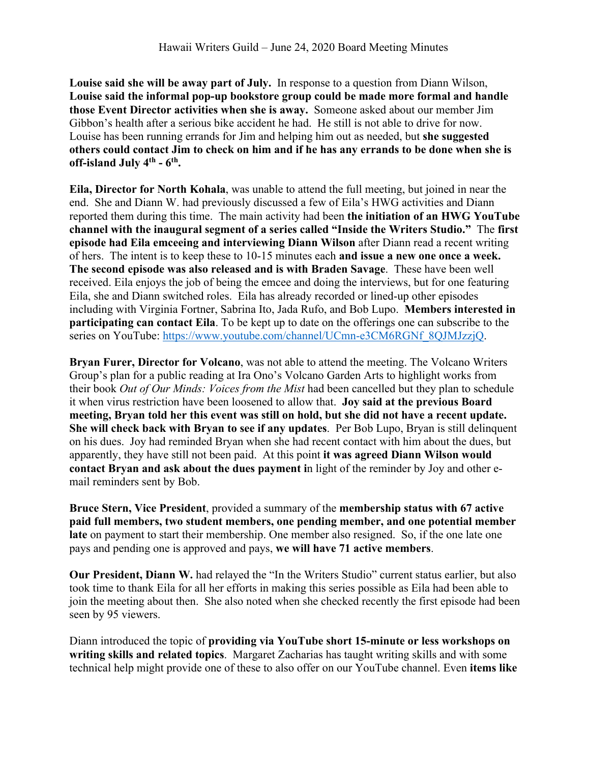**Louise said she will be away part of July.** In response to a question from Diann Wilson, **Louise said the informal pop-up bookstore group could be made more formal and handle those Event Director activities when she is away.** Someone asked about our member Jim Gibbon's health after a serious bike accident he had. He still is not able to drive for now. Louise has been running errands for Jim and helping him out as needed, but **she suggested others could contact Jim to check on him and if he has any errands to be done when she is off-island July 4th - 6th.**

**Eila, Director for North Kohala**, was unable to attend the full meeting, but joined in near the end. She and Diann W. had previously discussed a few of Eila's HWG activities and Diann reported them during this time. The main activity had been **the initiation of an HWG YouTube channel with the inaugural segment of a series called "Inside the Writers Studio."** The **first episode had Eila emceeing and interviewing Diann Wilson** after Diann read a recent writing of hers. The intent is to keep these to 10-15 minutes each **and issue a new one once a week. The second episode was also released and is with Braden Savage**. These have been well received. Eila enjoys the job of being the emcee and doing the interviews, but for one featuring Eila, she and Diann switched roles. Eila has already recorded or lined-up other episodes including with Virginia Fortner, Sabrina Ito, Jada Rufo, and Bob Lupo. **Members interested in participating can contact Eila**. To be kept up to date on the offerings one can subscribe to the series on YouTube: https://www.youtube.com/channel/UCmn-e3CM6RGNf\_8QJMJzzjQ.

**Bryan Furer, Director for Volcano**, was not able to attend the meeting. The Volcano Writers Group's plan for a public reading at Ira Ono's Volcano Garden Arts to highlight works from their book *Out of Our Minds: Voices from the Mist* had been cancelled but they plan to schedule it when virus restriction have been loosened to allow that. **Joy said at the previous Board meeting, Bryan told her this event was still on hold, but she did not have a recent update. She will check back with Bryan to see if any updates**. Per Bob Lupo, Bryan is still delinquent on his dues. Joy had reminded Bryan when she had recent contact with him about the dues, but apparently, they have still not been paid. At this point **it was agreed Diann Wilson would contact Bryan and ask about the dues payment i**n light of the reminder by Joy and other email reminders sent by Bob.

**Bruce Stern, Vice President**, provided a summary of the **membership status with 67 active paid full members, two student members, one pending member, and one potential member late** on payment to start their membership. One member also resigned. So, if the one late one pays and pending one is approved and pays, **we will have 71 active members**.

**Our President, Diann W.** had relayed the "In the Writers Studio" current status earlier, but also took time to thank Eila for all her efforts in making this series possible as Eila had been able to join the meeting about then. She also noted when she checked recently the first episode had been seen by 95 viewers.

Diann introduced the topic of **providing via YouTube short 15-minute or less workshops on writing skills and related topics**. Margaret Zacharias has taught writing skills and with some technical help might provide one of these to also offer on our YouTube channel. Even **items like**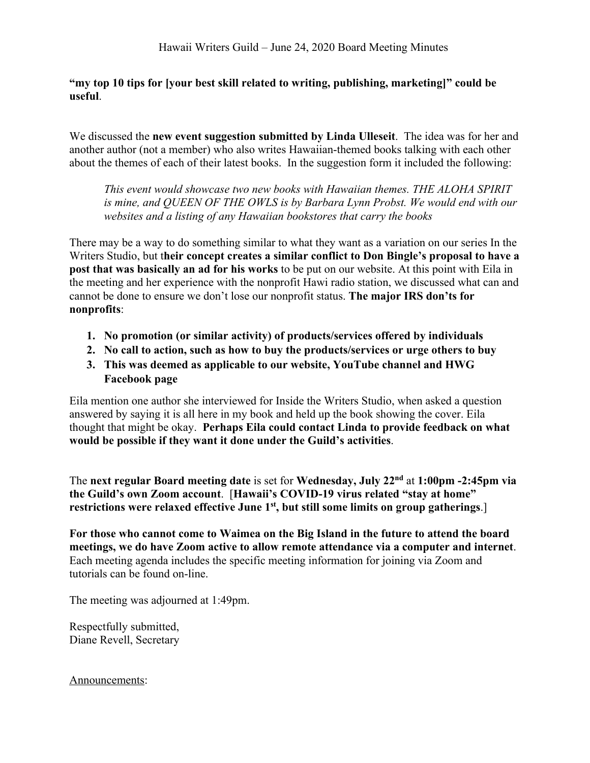**"my top 10 tips for [your best skill related to writing, publishing, marketing]" could be useful**.

We discussed the **new event suggestion submitted by Linda Ulleseit**. The idea was for her and another author (not a member) who also writes Hawaiian-themed books talking with each other about the themes of each of their latest books. In the suggestion form it included the following:

*This event would showcase two new books with Hawaiian themes. THE ALOHA SPIRIT is mine, and QUEEN OF THE OWLS is by Barbara Lynn Probst. We would end with our websites and a listing of any Hawaiian bookstores that carry the books*

There may be a way to do something similar to what they want as a variation on our series In the Writers Studio, but t**heir concept creates a similar conflict to Don Bingle's proposal to have a post that was basically an ad for his works** to be put on our website. At this point with Eila in the meeting and her experience with the nonprofit Hawi radio station, we discussed what can and cannot be done to ensure we don't lose our nonprofit status. **The major IRS don'ts for nonprofits**:

- **1. No promotion (or similar activity) of products/services offered by individuals**
- **2. No call to action, such as how to buy the products/services or urge others to buy**
- **3. This was deemed as applicable to our website, YouTube channel and HWG Facebook page**

Eila mention one author she interviewed for Inside the Writers Studio, when asked a question answered by saying it is all here in my book and held up the book showing the cover. Eila thought that might be okay. **Perhaps Eila could contact Linda to provide feedback on what would be possible if they want it done under the Guild's activities**.

The **next regular Board meeting date** is set for **Wednesday, July 22nd** at **1:00pm -2:45pm via the Guild's own Zoom account**. [**Hawaii's COVID-19 virus related "stay at home" restrictions were relaxed effective June 1st, but still some limits on group gatherings**.]

**For those who cannot come to Waimea on the Big Island in the future to attend the board meetings, we do have Zoom active to allow remote attendance via a computer and internet**. Each meeting agenda includes the specific meeting information for joining via Zoom and tutorials can be found on-line.

The meeting was adjourned at 1:49pm.

Respectfully submitted, Diane Revell, Secretary

Announcements: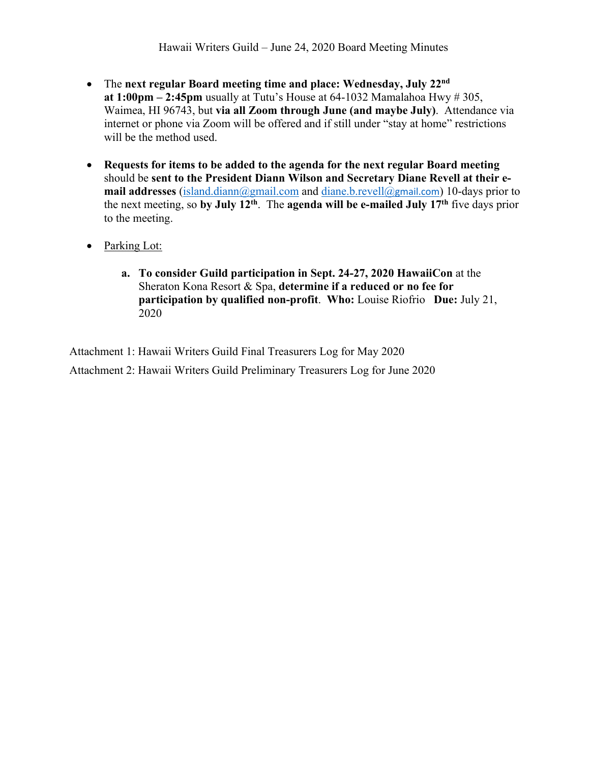- The **next regular Board meeting time and place: Wednesday, July 22nd at 1:00pm – 2:45pm** usually at Tutu's House at 64-1032 Mamalahoa Hwy # 305, Waimea, HI 96743, but **via all Zoom through June (and maybe July)**. Attendance via internet or phone via Zoom will be offered and if still under "stay at home" restrictions will be the method used.
- **Requests for items to be added to the agenda for the next regular Board meeting** should be **sent to the President Diann Wilson and Secretary Diane Revell at their email addresses** (island.diann@gmail.com and diane.b.revell@gmail.com) 10-days prior to the next meeting, so **by July 12th**. The **agenda will be e-mailed July 17th** five days prior to the meeting.
- Parking Lot:
	- **a. To consider Guild participation in Sept. 24-27, 2020 HawaiiCon** at the Sheraton Kona Resort & Spa, **determine if a reduced or no fee for participation by qualified non-profit**. **Who:** Louise Riofrio **Due:** July 21, 2020

Attachment 1: Hawaii Writers Guild Final Treasurers Log for May 2020 Attachment 2: Hawaii Writers Guild Preliminary Treasurers Log for June 2020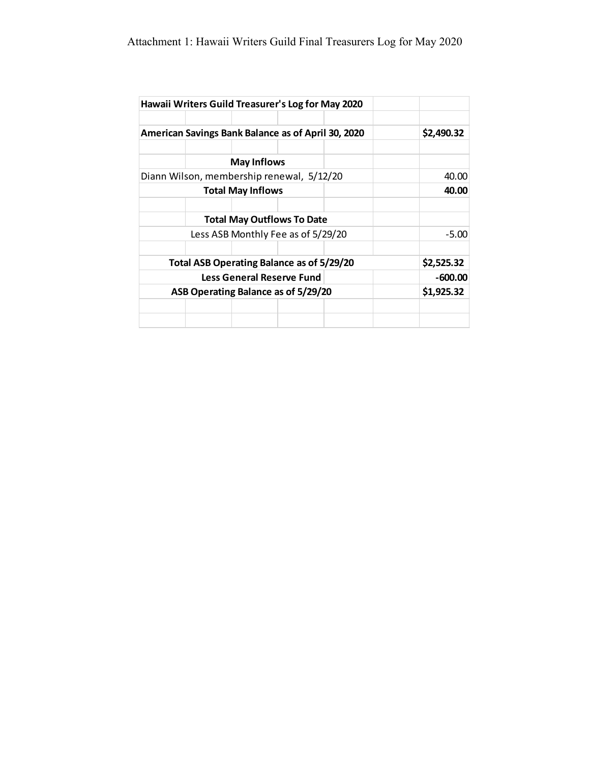## Attachment 1: Hawaii Writers Guild Final Treasurers Log for May 2020

|                                                    |                    | Hawaii Writers Guild Treasurer's Log for May 2020 |  |  |
|----------------------------------------------------|--------------------|---------------------------------------------------|--|--|
| American Savings Bank Balance as of April 30, 2020 | \$2,490.32         |                                                   |  |  |
|                                                    | <b>May Inflows</b> |                                                   |  |  |
| Diann Wilson, membership renewal, 5/12/20          | 40.00              |                                                   |  |  |
|                                                    | 40.00              |                                                   |  |  |
|                                                    |                    |                                                   |  |  |
|                                                    | $-5.00$            |                                                   |  |  |
| Total ASB Operating Balance as of 5/29/20          | \$2,525.32         |                                                   |  |  |
|                                                    | $-600.00$          |                                                   |  |  |
| ASB Operating Balance as of 5/29/20                | \$1,925.32         |                                                   |  |  |
|                                                    |                    |                                                   |  |  |
|                                                    |                    |                                                   |  |  |